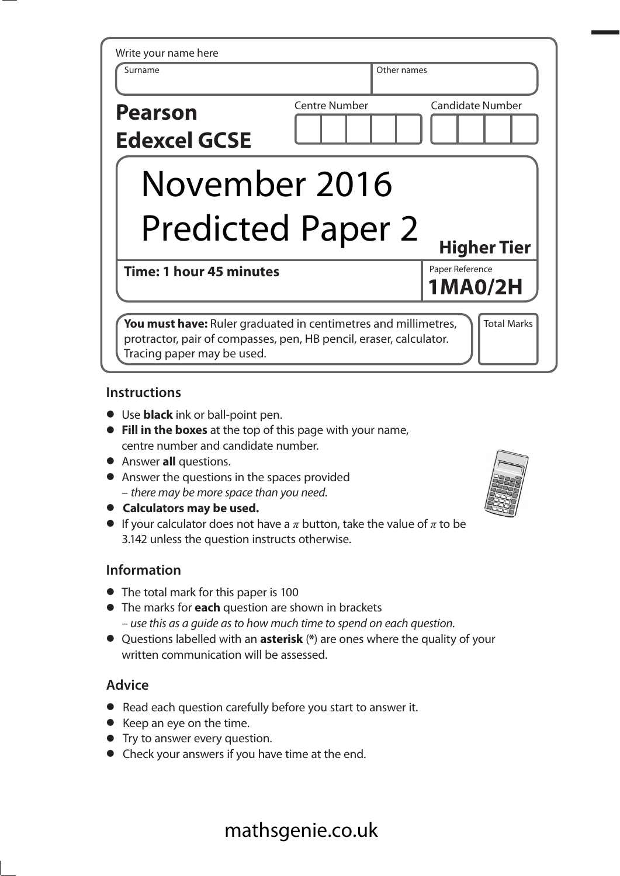| Write your name here<br>Surname                                                                                                      |                      | Other names                       |
|--------------------------------------------------------------------------------------------------------------------------------------|----------------------|-----------------------------------|
| <b>Pearson</b><br><b>Edexcel GCSE</b>                                                                                                | <b>Centre Number</b> | <b>Candidate Number</b>           |
| November 2016                                                                                                                        |                      |                                   |
| <b>Predicted Paper 2</b>                                                                                                             |                      | <b>Higher Tier</b>                |
| <b>Time: 1 hour 45 minutes</b>                                                                                                       |                      | Paper Reference<br><b>1MA0/2H</b> |
| You must have: Ruler graduated in centimetres and millimetres,<br>protractor, pair of compasses, pen, HB pencil, eraser, calculator. |                      | <b>Total Marks</b>                |

## **Instructions**

- **t** Use **black** ink or ball-point pen.
- **Fill in the boxes** at the top of this page with your name, centre number and candidate number.
- **•** Answer **all** questions.
- **•** Answer the questions in the spaces provided – there may be more space than you need.
- **Calculators may be used.**
- **•** If your calculator does not have a  $\pi$  button, take the value of  $\pi$  to be 3.142 unless the question instructs otherwise.

## **Information**

- The total mark for this paper is 100
- **•** The marks for **each** question are shown in brackets – use this as a guide as to how much time to spend on each question.
- **t** Questions labelled with an **asterisk** (**\***) are ones where the quality of your written communication will be assessed.

## **Advice**

- **•** Read each question carefully before you start to answer it.
- **•** Keep an eye on the time.
- **•** Try to answer every question.
- **•** Check your answers if you have time at the end.



# mathsgenie.co.uk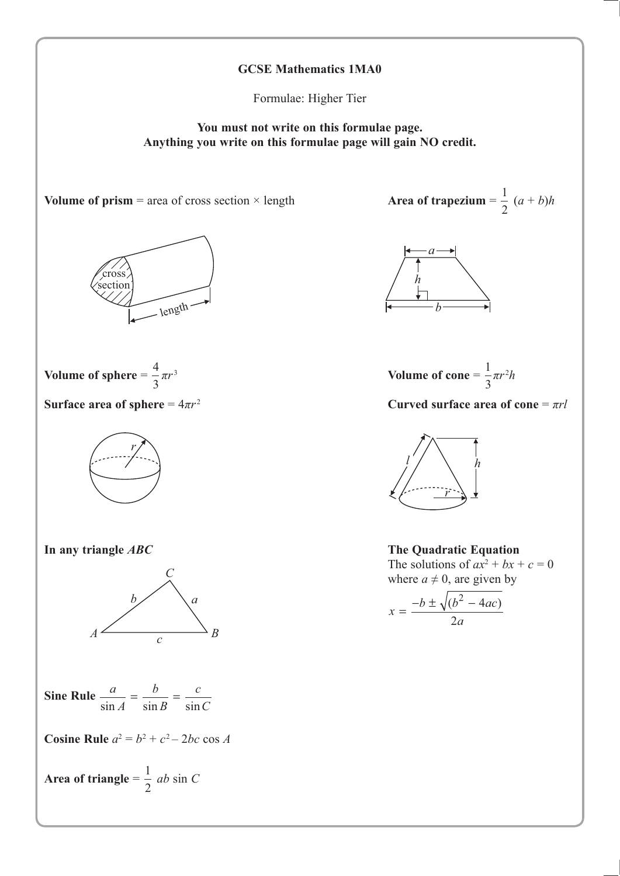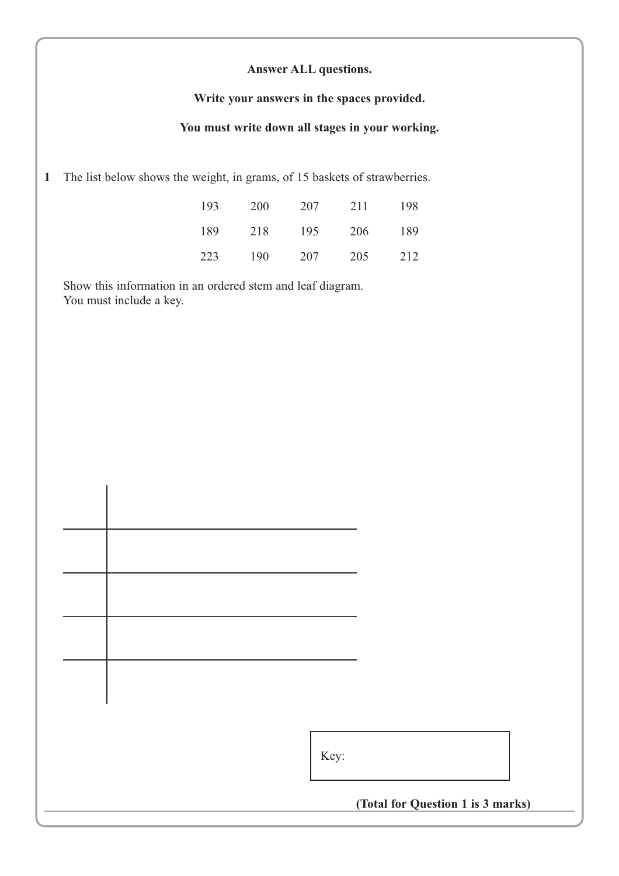## **Answer ALL questions.**

## **Write your answers in the spaces provided.**

#### **You must write down all stages in your working.**

**1** The list below shows the weight, in grams, of 15 baskets of strawberries.

| 193 | 200 | 207 | 211 | 198  |
|-----|-----|-----|-----|------|
| 189 | 218 | 195 | 206 | 189  |
| 223 | 190 | 207 | 205 | 2.12 |

Show this information in an ordered stem and leaf diagram. You must include a key.

Key:

**(Total for Question 1 is 3 marks)**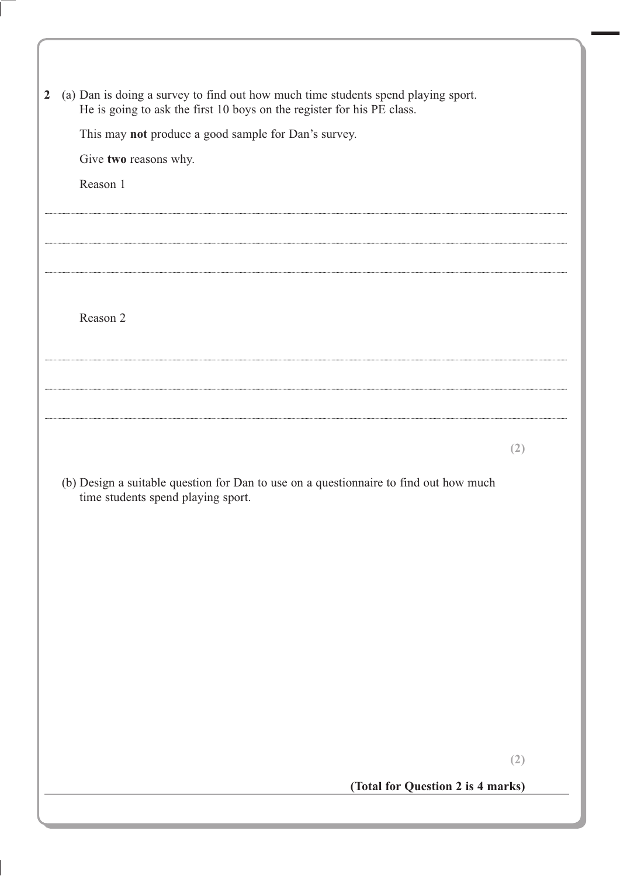| $\overline{2}$ |                                                                                                                             |     |
|----------------|-----------------------------------------------------------------------------------------------------------------------------|-----|
|                | (a) Dan is doing a survey to find out how much time students spend playing sport.                                           |     |
|                | He is going to ask the first 10 boys on the register for his PE class.                                                      |     |
|                | This may not produce a good sample for Dan's survey.                                                                        |     |
|                | Give two reasons why.                                                                                                       |     |
|                | Reason 1                                                                                                                    |     |
|                |                                                                                                                             |     |
|                |                                                                                                                             |     |
|                |                                                                                                                             |     |
|                |                                                                                                                             |     |
|                |                                                                                                                             |     |
|                | Reason 2                                                                                                                    |     |
|                |                                                                                                                             |     |
|                |                                                                                                                             |     |
|                |                                                                                                                             |     |
|                |                                                                                                                             |     |
|                |                                                                                                                             | (2) |
|                |                                                                                                                             |     |
|                | (b) Design a suitable question for Dan to use on a questionnaire to find out how much<br>time students spend playing sport. |     |
|                |                                                                                                                             |     |
|                |                                                                                                                             |     |
|                |                                                                                                                             |     |
|                |                                                                                                                             |     |
|                |                                                                                                                             |     |
|                |                                                                                                                             |     |
|                |                                                                                                                             |     |
|                |                                                                                                                             |     |
|                |                                                                                                                             |     |
|                |                                                                                                                             |     |
|                |                                                                                                                             |     |
|                |                                                                                                                             |     |
|                |                                                                                                                             | (2) |
|                | (Total for Question 2 is 4 marks)                                                                                           |     |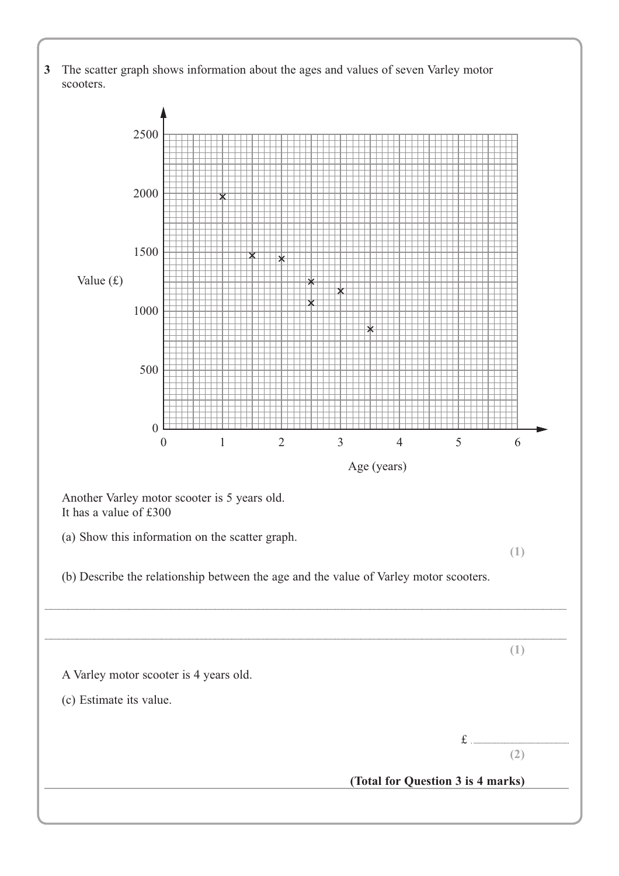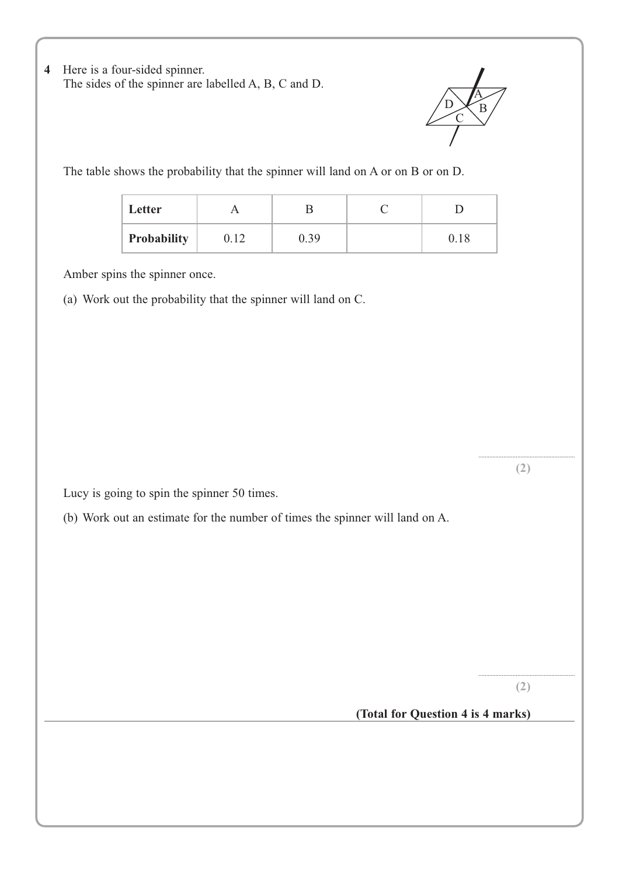| 4 Here is a four-sided spinner.                      |
|------------------------------------------------------|
| The sides of the spinner are labelled A, B, C and D. |



The table shows the probability that the spinner will land on A or on B or on D.

| Letter      |      |      |      |
|-------------|------|------|------|
| Probability | 0.12 | 0.39 | J.18 |

Amber spins the spinner once.

(a) Work out the probability that the spinner will land on C.

Lucy is going to spin the spinner 50 times.

(b) Work out an estimate for the number of times the spinner will land on A.

.............................................................. **(2)**

.............................................................. **(2)**

**(Total for Question 4 is 4 marks)**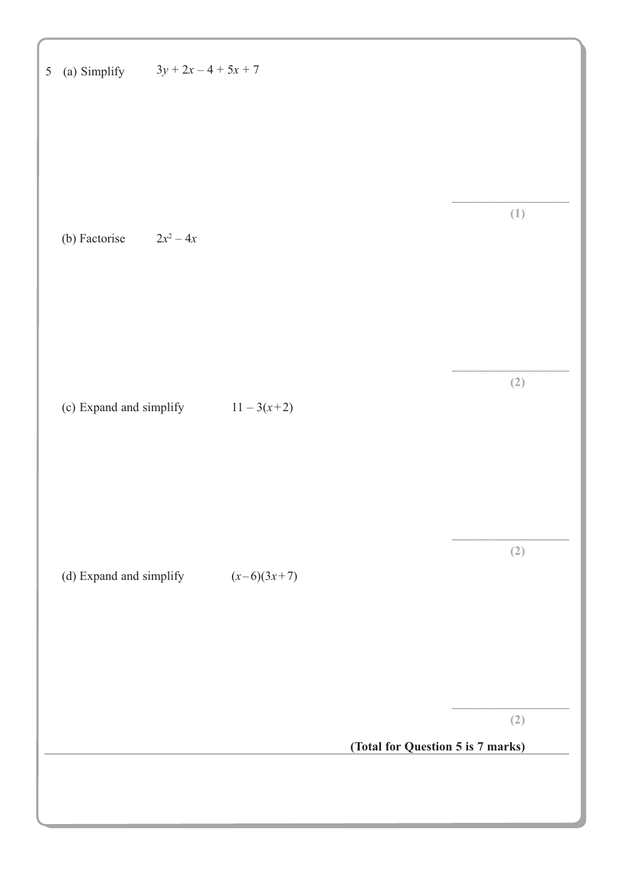| $\mathfrak{S}$ | (a) Simplify $3y + 2x - 4 + 5x + 7$ |               |                                   |     |
|----------------|-------------------------------------|---------------|-----------------------------------|-----|
|                |                                     |               |                                   |     |
|                |                                     |               |                                   |     |
|                | (b) Factorise $2x^2 - 4x$           |               |                                   | (1) |
|                |                                     |               |                                   |     |
|                |                                     |               |                                   |     |
|                | (c) Expand and simplify $11-3(x+2)$ |               |                                   | (2) |
|                |                                     |               |                                   |     |
|                |                                     |               |                                   |     |
|                |                                     |               |                                   | (2) |
|                | (d) Expand and simplify             | $(x-6)(3x+7)$ |                                   |     |
|                |                                     |               |                                   |     |
|                |                                     |               |                                   | (2) |
|                |                                     |               | (Total for Question 5 is 7 marks) |     |
|                |                                     |               |                                   |     |
|                |                                     |               |                                   |     |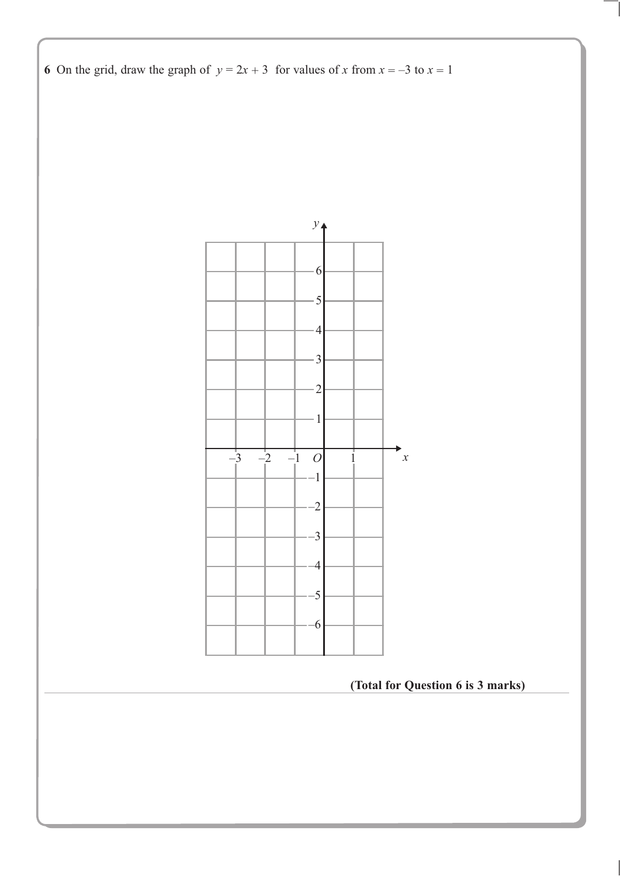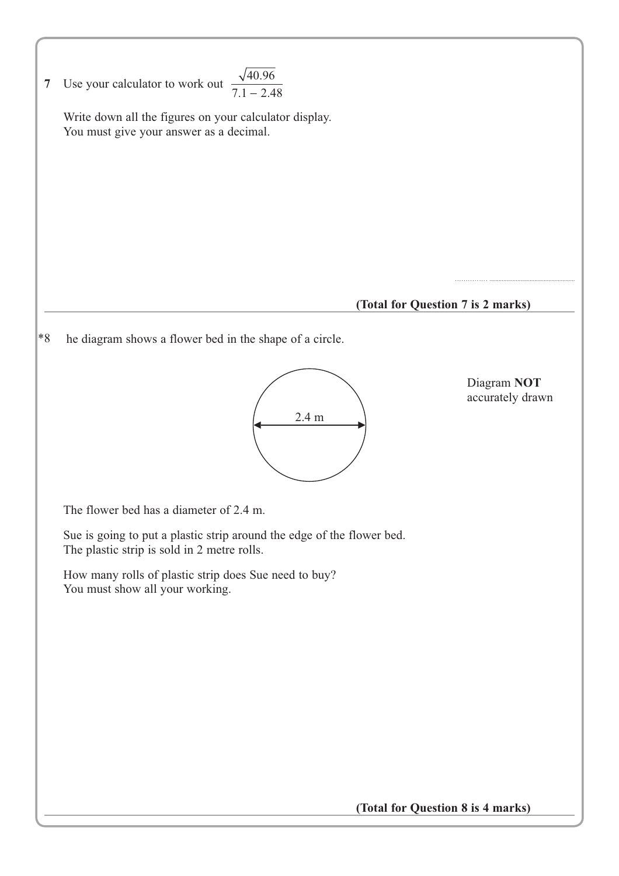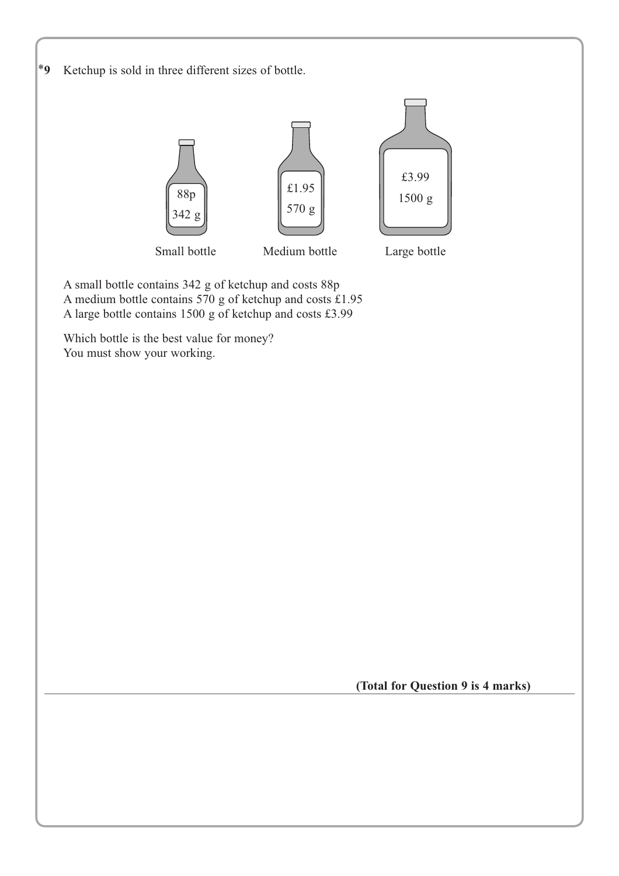

**(Total for Question 9 is 4 marks)**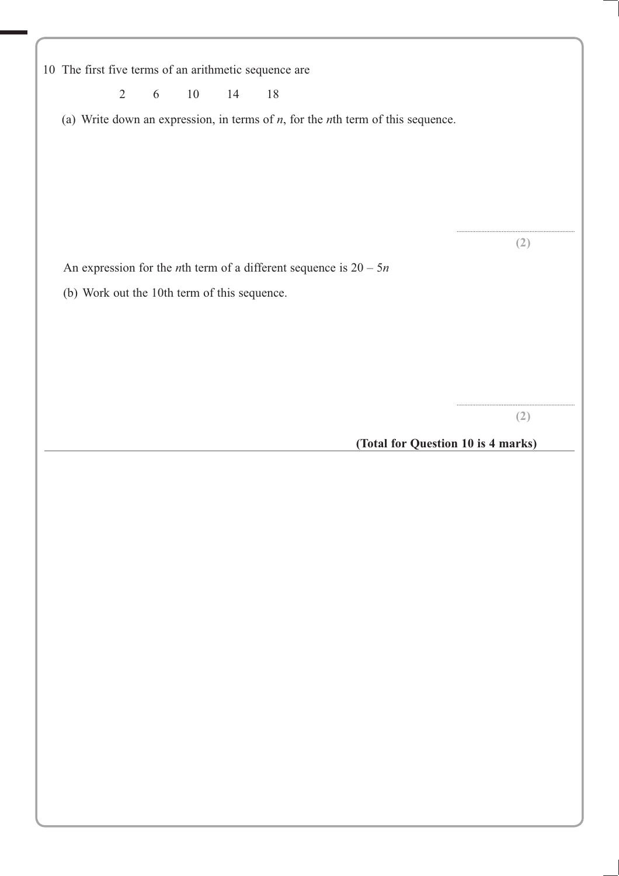| 10 The first five terms of an arithmetic sequence are<br>$\overline{2}$<br>10<br>14<br>$6\,$<br>18<br>(a) Write down an expression, in terms of $n$ , for the $n$ th term of this sequence.<br>(2)<br>An expression for the <i>n</i> th term of a different sequence is $20 - 5n$<br>(b) Work out the 10th term of this sequence.<br>(2) |  |  |  |
|------------------------------------------------------------------------------------------------------------------------------------------------------------------------------------------------------------------------------------------------------------------------------------------------------------------------------------------|--|--|--|
|                                                                                                                                                                                                                                                                                                                                          |  |  |  |
|                                                                                                                                                                                                                                                                                                                                          |  |  |  |
|                                                                                                                                                                                                                                                                                                                                          |  |  |  |
|                                                                                                                                                                                                                                                                                                                                          |  |  |  |
|                                                                                                                                                                                                                                                                                                                                          |  |  |  |
|                                                                                                                                                                                                                                                                                                                                          |  |  |  |
|                                                                                                                                                                                                                                                                                                                                          |  |  |  |
|                                                                                                                                                                                                                                                                                                                                          |  |  |  |
|                                                                                                                                                                                                                                                                                                                                          |  |  |  |
|                                                                                                                                                                                                                                                                                                                                          |  |  |  |
|                                                                                                                                                                                                                                                                                                                                          |  |  |  |
|                                                                                                                                                                                                                                                                                                                                          |  |  |  |
|                                                                                                                                                                                                                                                                                                                                          |  |  |  |
|                                                                                                                                                                                                                                                                                                                                          |  |  |  |
|                                                                                                                                                                                                                                                                                                                                          |  |  |  |
|                                                                                                                                                                                                                                                                                                                                          |  |  |  |
| (Total for Question 10 is 4 marks)                                                                                                                                                                                                                                                                                                       |  |  |  |
|                                                                                                                                                                                                                                                                                                                                          |  |  |  |
|                                                                                                                                                                                                                                                                                                                                          |  |  |  |
|                                                                                                                                                                                                                                                                                                                                          |  |  |  |
|                                                                                                                                                                                                                                                                                                                                          |  |  |  |
|                                                                                                                                                                                                                                                                                                                                          |  |  |  |
|                                                                                                                                                                                                                                                                                                                                          |  |  |  |
|                                                                                                                                                                                                                                                                                                                                          |  |  |  |
|                                                                                                                                                                                                                                                                                                                                          |  |  |  |
|                                                                                                                                                                                                                                                                                                                                          |  |  |  |
|                                                                                                                                                                                                                                                                                                                                          |  |  |  |
|                                                                                                                                                                                                                                                                                                                                          |  |  |  |
|                                                                                                                                                                                                                                                                                                                                          |  |  |  |
|                                                                                                                                                                                                                                                                                                                                          |  |  |  |
|                                                                                                                                                                                                                                                                                                                                          |  |  |  |
|                                                                                                                                                                                                                                                                                                                                          |  |  |  |
|                                                                                                                                                                                                                                                                                                                                          |  |  |  |
|                                                                                                                                                                                                                                                                                                                                          |  |  |  |
|                                                                                                                                                                                                                                                                                                                                          |  |  |  |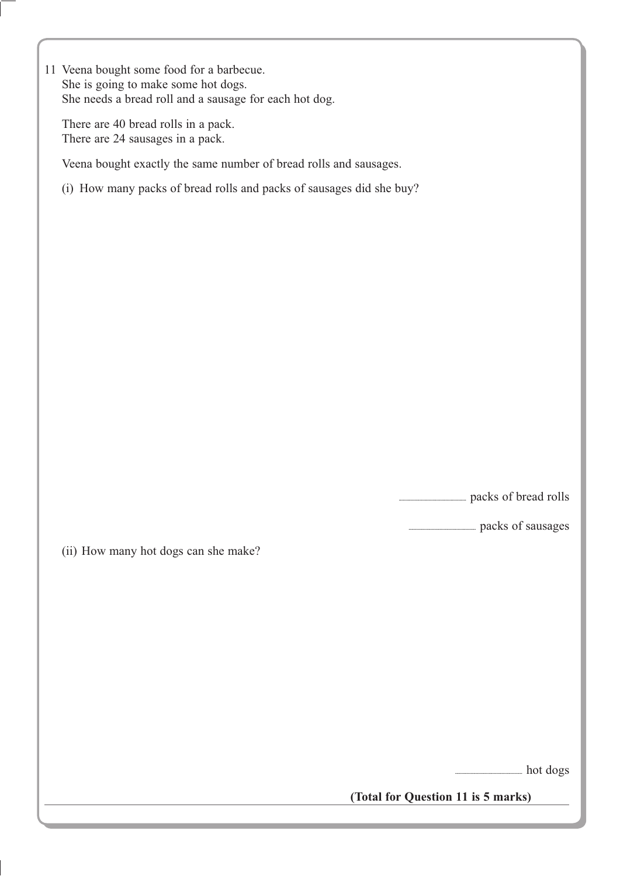11 Veena bought some food for a barbecue. She is going to make some hot dogs. She needs a bread roll and a sausage for each hot dog.

There are 40 bread rolls in a pack. There are 24 sausages in a pack.

Veena bought exactly the same number of bread rolls and sausages.

(i) How many packs of bread rolls and packs of sausages did she buy?

.................................................... packs of bread rolls

.................................................... packs of sausages

(ii) How many hot dogs can she make?

.................................................... hot dogs

**(Total for Question 11 is 5 marks)**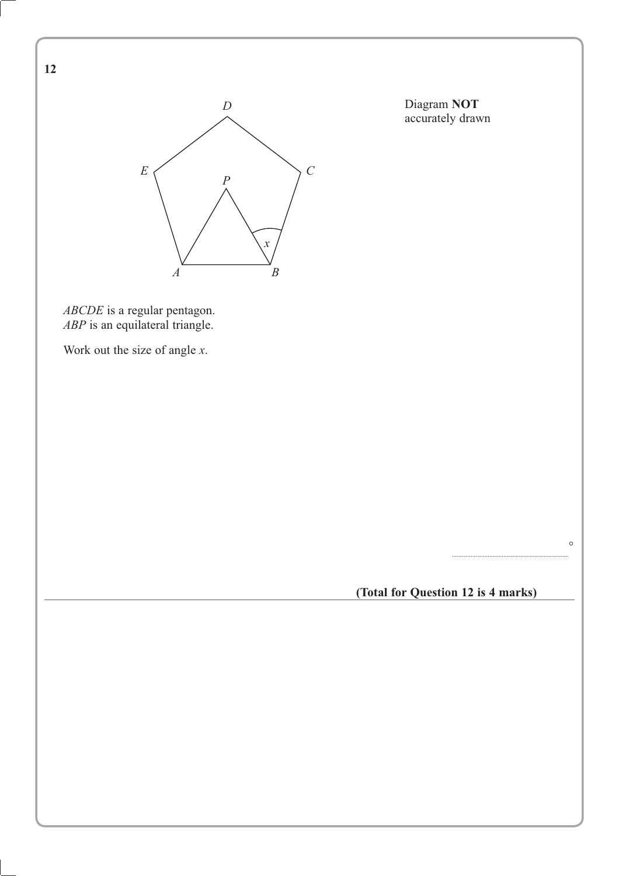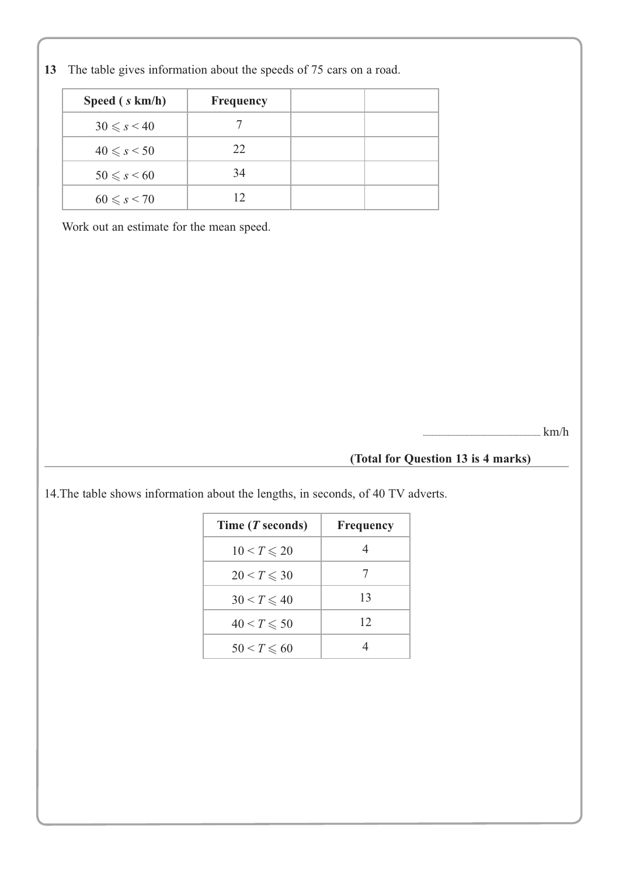|  |  |  | 13 The table gives information about the speeds of 75 cars on a road. |  |  |  |  |  |  |
|--|--|--|-----------------------------------------------------------------------|--|--|--|--|--|--|
|--|--|--|-----------------------------------------------------------------------|--|--|--|--|--|--|

| Speed $(s \text{ km/h})$      | <b>Frequency</b> |  |
|-------------------------------|------------------|--|
| $30 \leqslant s \leq 40$      |                  |  |
| $40 \leqslant s \leqslant 50$ | 22               |  |
| $50 \leqslant s \leqslant 60$ | 34               |  |
| $60 \leqslant s \leq 70$      |                  |  |

Work out an estimate for the mean speed.

........................................................................................... km/h

## **(Total for Question 13 is 4 marks)**

14.The table shows information about the lengths, in seconds, of 40 TV adverts.

| Time $(T$ seconds)    | <b>Frequency</b> |
|-----------------------|------------------|
| $10 \leq T \leq 20$   |                  |
| $20 < T \leqslant 30$ |                  |
| $30 < T \leq 40$      | 13               |
| $40 < T \leqslant 50$ | 12               |
| $50 < T \leqslant 60$ |                  |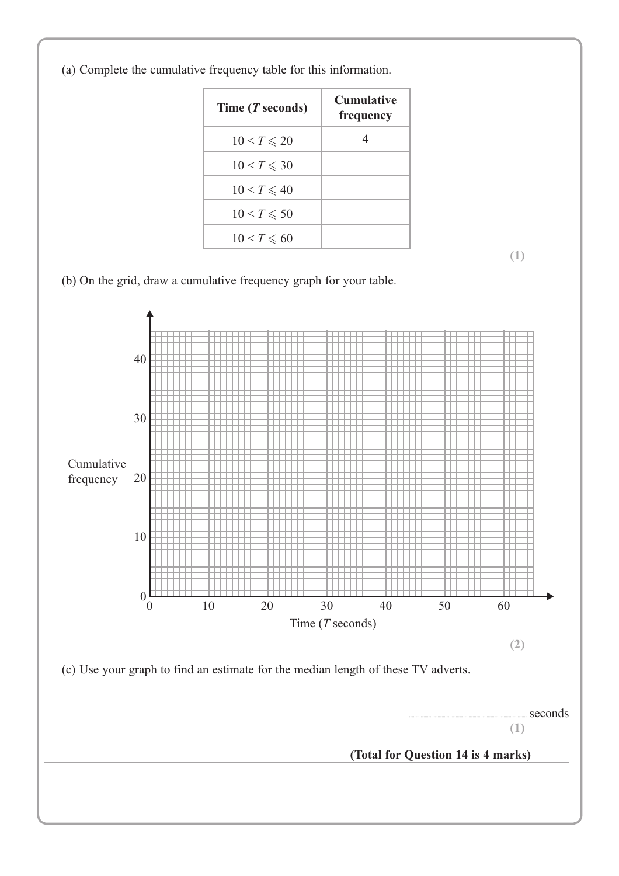(a) Complete the cumulative frequency table for this information.

| Time (T seconds) | <b>Cumulative</b><br>frequency |
|------------------|--------------------------------|
| $10 < T \le 20$  |                                |
| $10 < T \le 30$  |                                |
| $10 < T \leq 40$ |                                |
| $10 < T \le 50$  |                                |
| $10 < T \le 60$  |                                |

**(1)**

(b) On the grid, draw a cumulative frequency graph for your table.

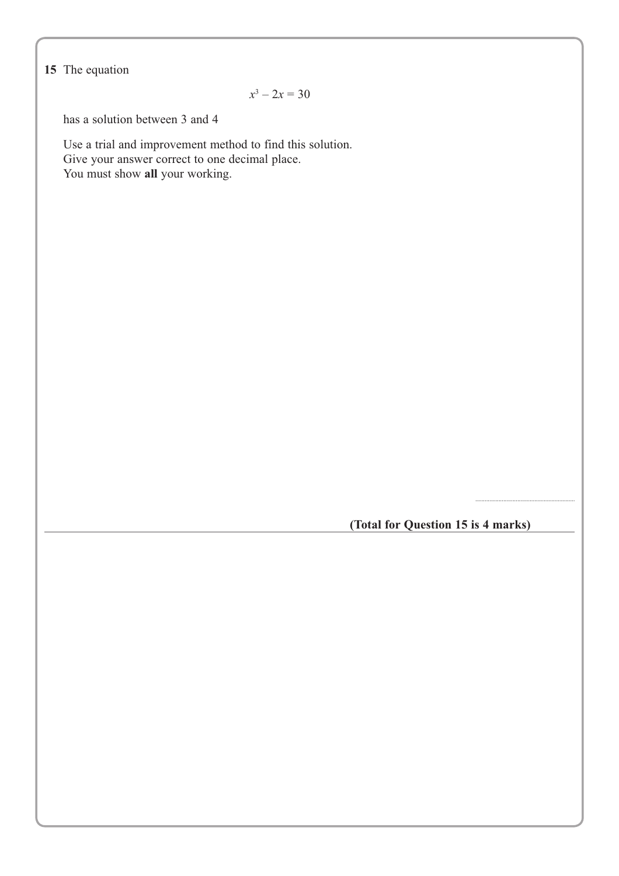**15** The equation

 $x^3 - 2x = 30$ 

has a solution between 3 and 4

Use a trial and improvement method to find this solution. Give your answer correct to one decimal place. You must show **all** your working.

**(Total for Question 15 is 4 marks)**

................................................................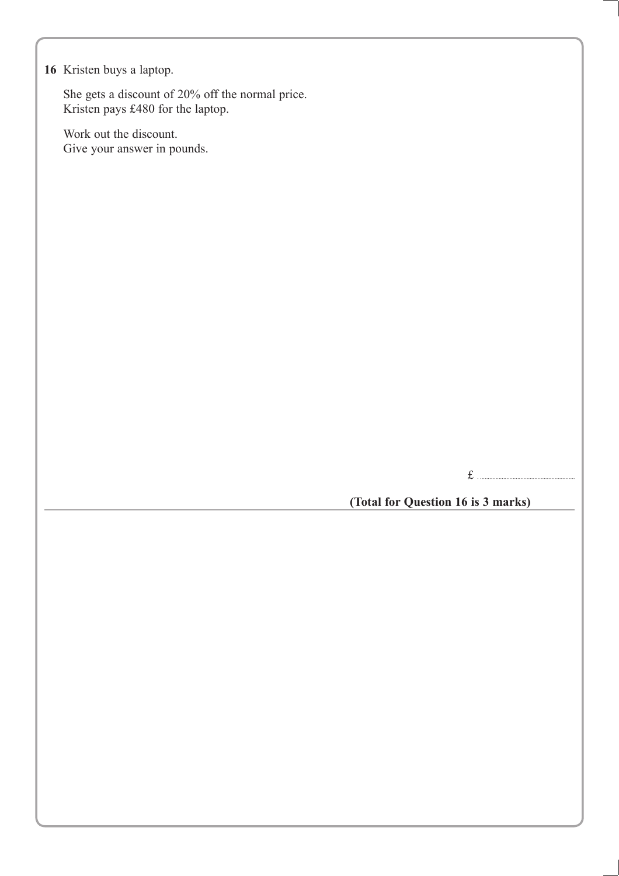**16** Kristen buys a laptop.

She gets a discount of 20% off the normal price. Kristen pays £480 for the laptop.

Work out the discount. Give your answer in pounds.

£ . .............................................................

**(Total for Question 16 is 3 marks)**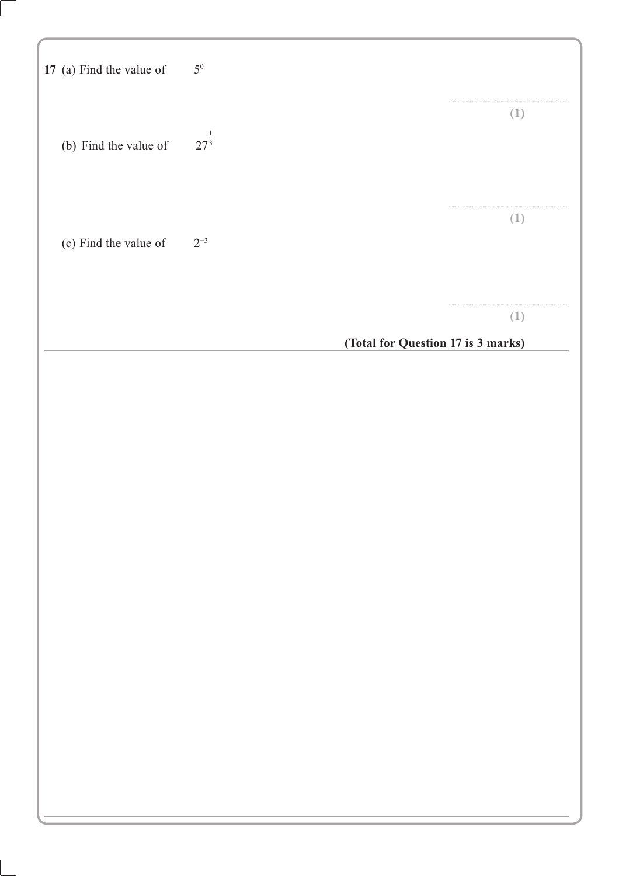| 17 (a) Find the value of | $5^{\scriptscriptstyle 0}$ |                                    |
|--------------------------|----------------------------|------------------------------------|
| (b) Find the value of    | $27^{\frac{1}{3}}$         | (1)                                |
| (c) Find the value of    | $2^{-3}$                   | (1)                                |
|                          |                            | (1)                                |
|                          |                            | (Total for Question 17 is 3 marks) |
|                          |                            |                                    |
|                          |                            |                                    |
|                          |                            |                                    |
|                          |                            |                                    |
|                          |                            |                                    |
|                          |                            |                                    |
|                          |                            |                                    |
|                          |                            |                                    |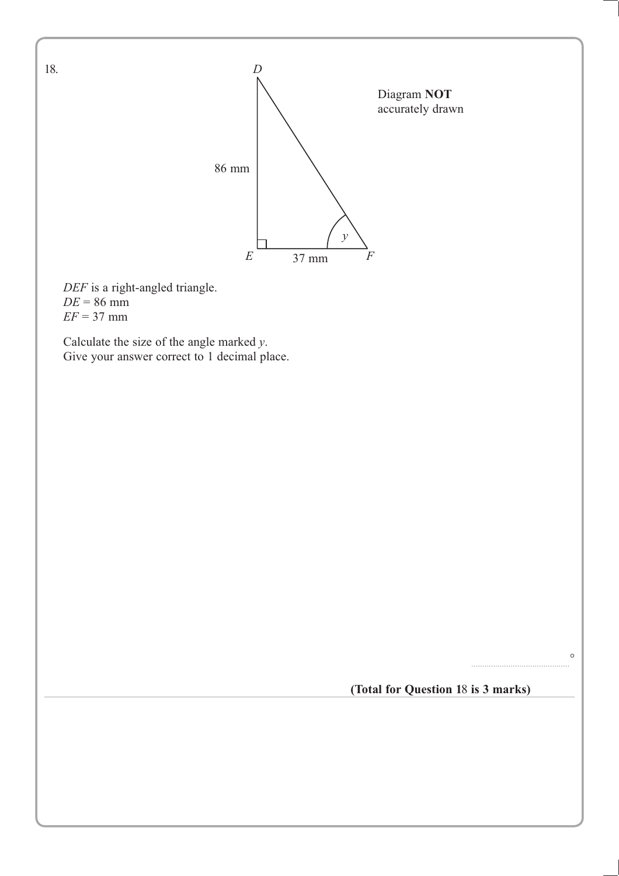

Calculate the size of the angle marked  $y$ . Give your answer correct to 1 decimal place.

(Total for Question 18 is 3 marks)

 $\circ$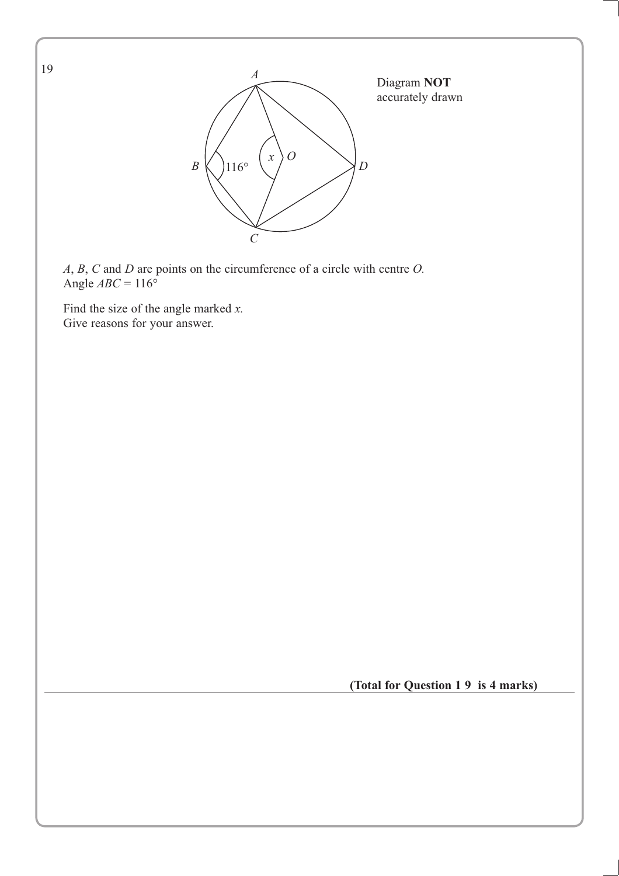

(Total for Question 19 is 4 marks)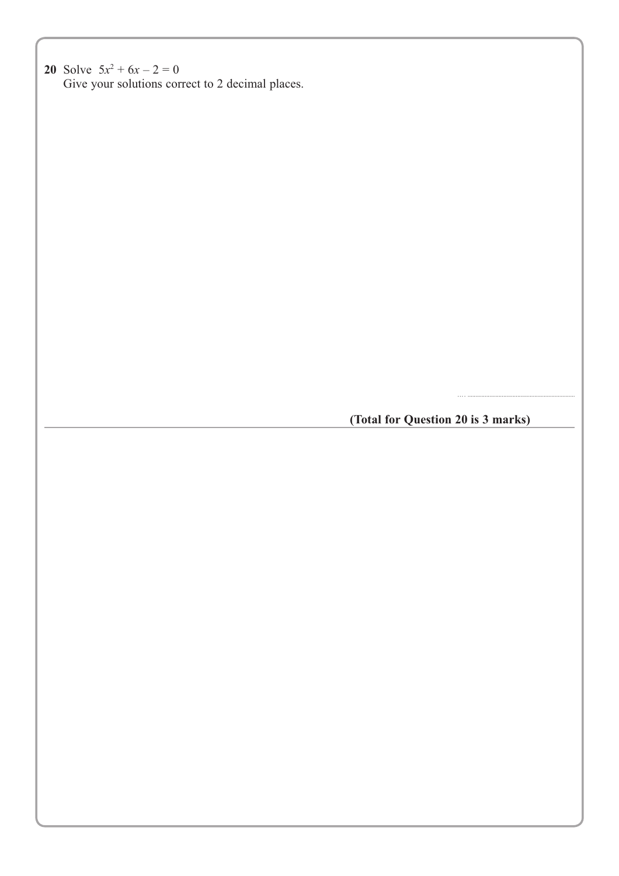|  | 20 Solve $5x^2 + 6x - 2 = 0$                     |  |  |
|--|--------------------------------------------------|--|--|
|  | Give your solutions correct to 2 decimal places. |  |  |

**(Total for Question 20 is 3 marks)**

…. .....................................................................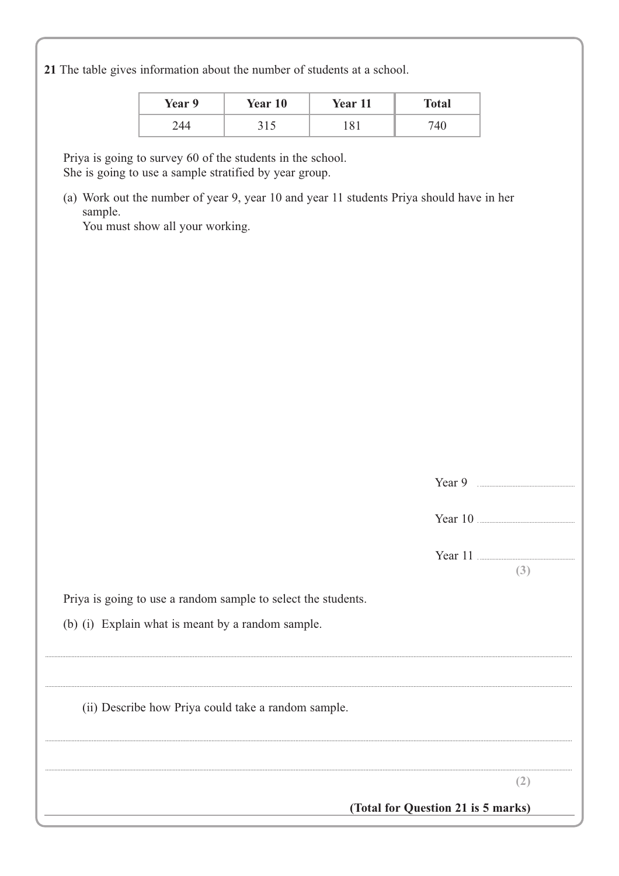21 The table gives information about the number of students at a school.

| Year 9 | Year 10 | Year 11 | Total |
|--------|---------|---------|-------|
|        | ን 1 4   |         |       |

Priya is going to survey 60 of the students in the school. She is going to use a sample stratified by year group.

(a) Work out the number of year 9, year 10 and year 11 students Priya should have in her sample.

You must show all your working.

 $\frac{1}{2}$ 

|                                                               | (Total for Question 21 is 5 marks) |  |
|---------------------------------------------------------------|------------------------------------|--|
|                                                               | (2)                                |  |
|                                                               |                                    |  |
|                                                               |                                    |  |
| (ii) Describe how Priya could take a random sample.           |                                    |  |
|                                                               |                                    |  |
| (b) (i) Explain what is meant by a random sample.             |                                    |  |
|                                                               |                                    |  |
| Priya is going to use a random sample to select the students. |                                    |  |
|                                                               | (3)                                |  |
|                                                               |                                    |  |
|                                                               |                                    |  |
|                                                               |                                    |  |
|                                                               | Year 9                             |  |
|                                                               |                                    |  |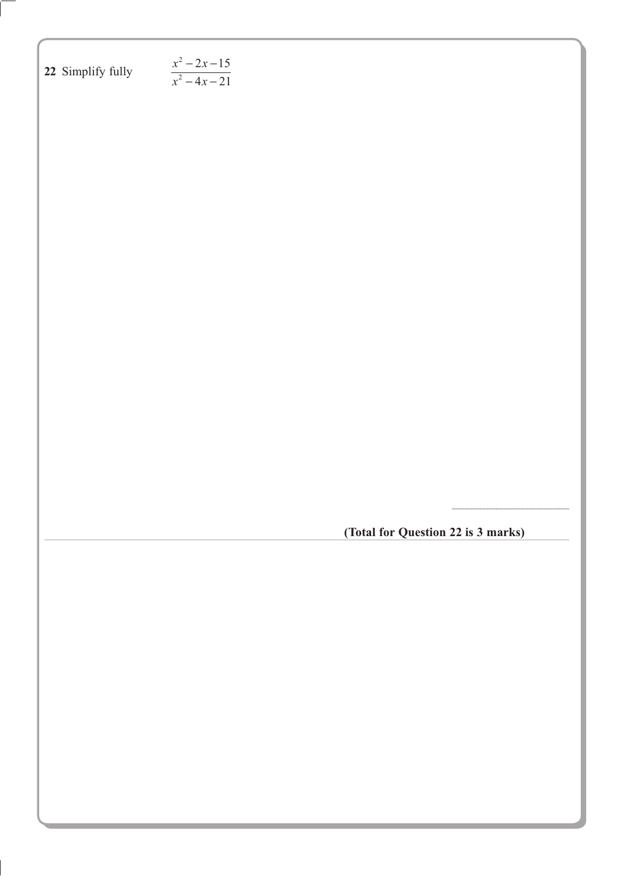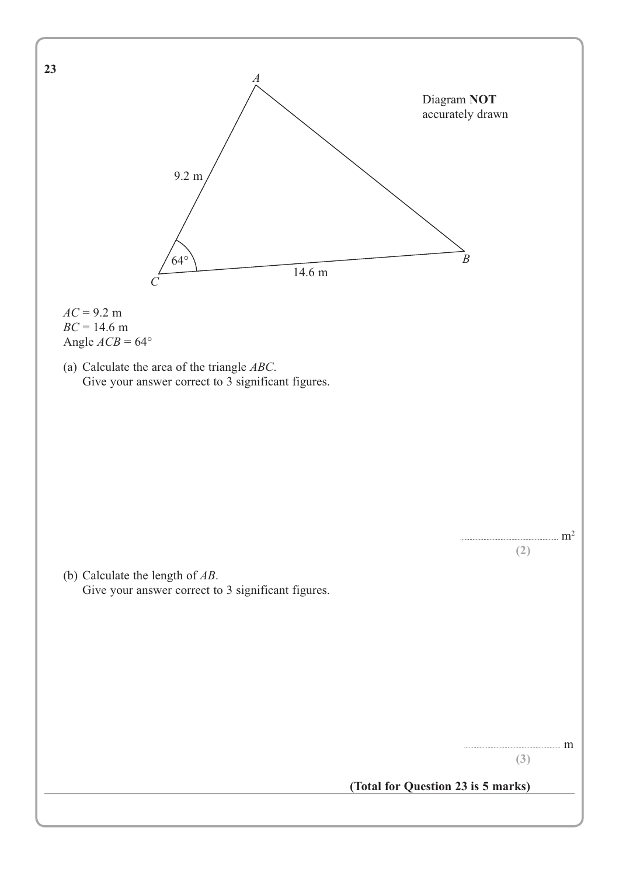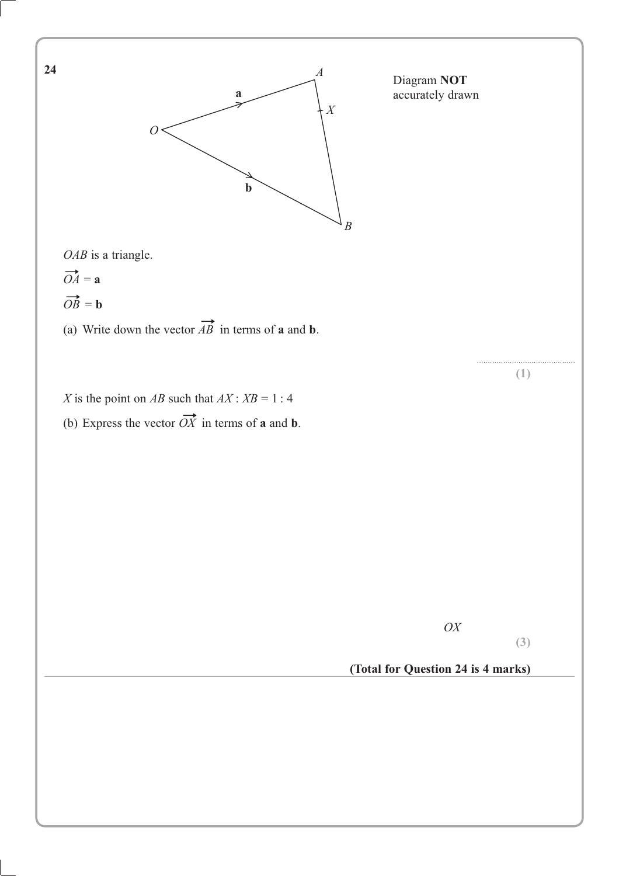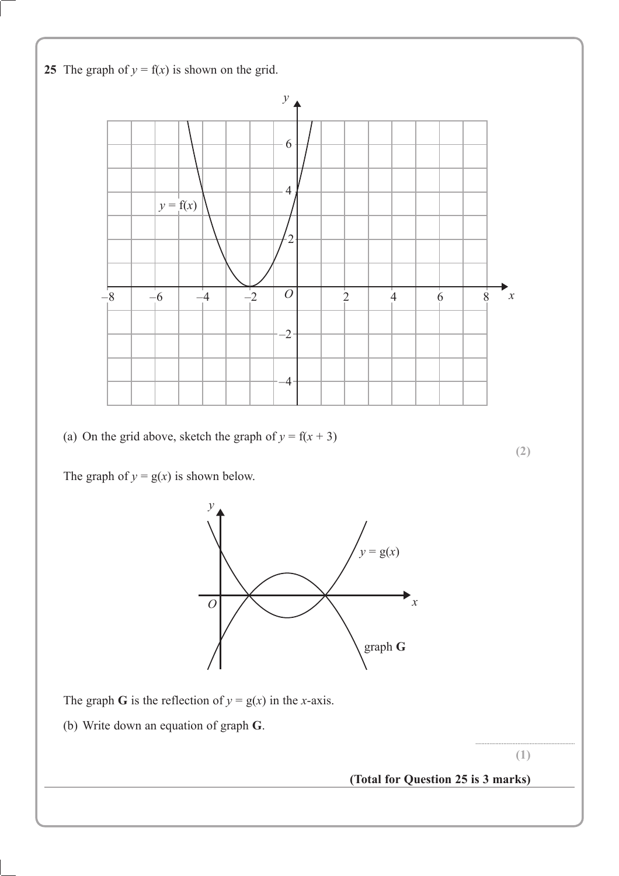